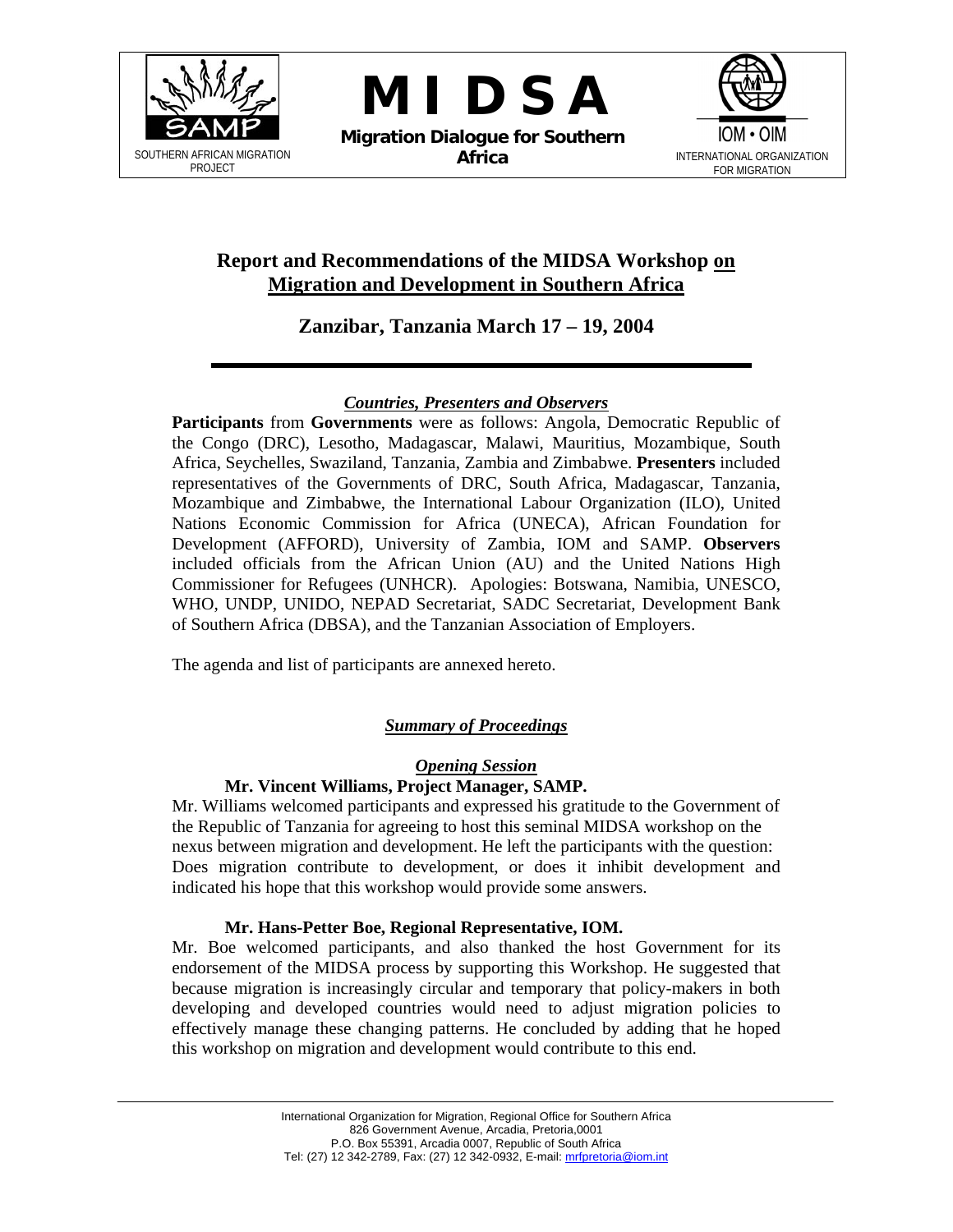

**M I D S A** 

**Migration Dialogue for Southern Africa** INTERNATIONAL ORGANIZATION



# **Report and Recommendations of the MIDSA Workshop on Migration and Development in Southern Africa**

# **Zanzibar, Tanzania March 17 – 19, 2004**

## *Countries, Presenters and Observers*

**Participants** from **Governments** were as follows: Angola, Democratic Republic of the Congo (DRC), Lesotho, Madagascar, Malawi, Mauritius, Mozambique, South Africa, Seychelles, Swaziland, Tanzania, Zambia and Zimbabwe. **Presenters** included representatives of the Governments of DRC, South Africa, Madagascar, Tanzania, Mozambique and Zimbabwe, the International Labour Organization (ILO), United Nations Economic Commission for Africa (UNECA), African Foundation for Development (AFFORD), University of Zambia, IOM and SAMP. **Observers** included officials from the African Union (AU) and the United Nations High Commissioner for Refugees (UNHCR). Apologies: Botswana, Namibia, UNESCO, WHO, UNDP, UNIDO, NEPAD Secretariat, SADC Secretariat, Development Bank of Southern Africa (DBSA), and the Tanzanian Association of Employers.

The agenda and list of participants are annexed hereto.

# *Summary of Proceedings*

# *Opening Session*

## **Mr. Vincent Williams, Project Manager, SAMP.**

Mr. Williams welcomed participants and expressed his gratitude to the Government of the Republic of Tanzania for agreeing to host this seminal MIDSA workshop on the nexus between migration and development. He left the participants with the question: Does migration contribute to development, or does it inhibit development and indicated his hope that this workshop would provide some answers.

## **Mr. Hans-Petter Boe, Regional Representative, IOM.**

Mr. Boe welcomed participants, and also thanked the host Government for its endorsement of the MIDSA process by supporting this Workshop. He suggested that because migration is increasingly circular and temporary that policy-makers in both developing and developed countries would need to adjust migration policies to effectively manage these changing patterns. He concluded by adding that he hoped this workshop on migration and development would contribute to this end.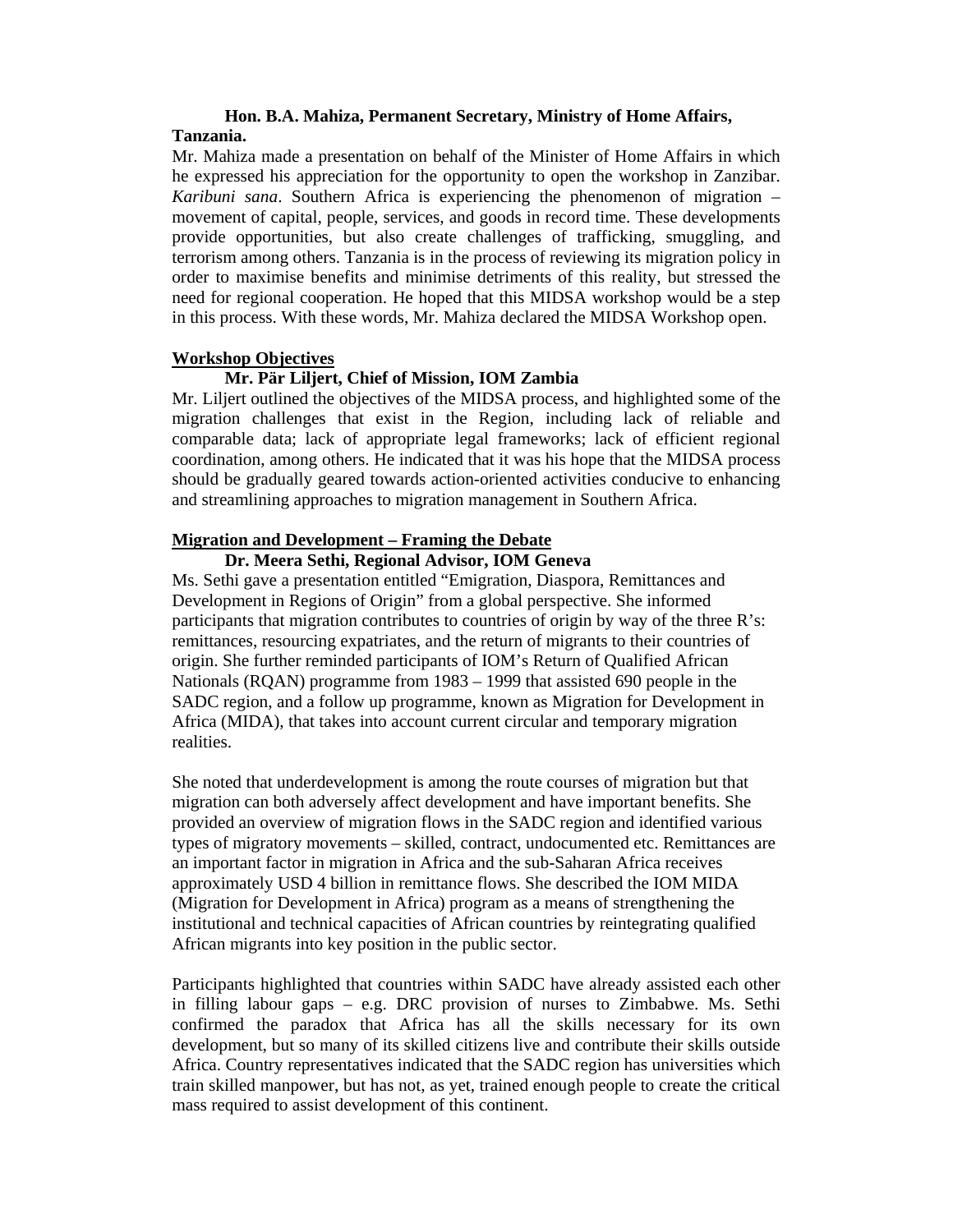## **Hon. B.A. Mahiza, Permanent Secretary, Ministry of Home Affairs, Tanzania.**

Mr. Mahiza made a presentation on behalf of the Minister of Home Affairs in which he expressed his appreciation for the opportunity to open the workshop in Zanzibar. *Karibuni sana*. Southern Africa is experiencing the phenomenon of migration – movement of capital, people, services, and goods in record time. These developments provide opportunities, but also create challenges of trafficking, smuggling, and terrorism among others. Tanzania is in the process of reviewing its migration policy in order to maximise benefits and minimise detriments of this reality, but stressed the need for regional cooperation. He hoped that this MIDSA workshop would be a step in this process. With these words, Mr. Mahiza declared the MIDSA Workshop open.

## **Workshop Objectives**

## **Mr. Pär Liljert, Chief of Mission, IOM Zambia**

Mr. Liljert outlined the objectives of the MIDSA process, and highlighted some of the migration challenges that exist in the Region, including lack of reliable and comparable data; lack of appropriate legal frameworks; lack of efficient regional coordination, among others. He indicated that it was his hope that the MIDSA process should be gradually geared towards action-oriented activities conducive to enhancing and streamlining approaches to migration management in Southern Africa.

## **Migration and Development – Framing the Debate**

## **Dr. Meera Sethi, Regional Advisor, IOM Geneva**

Ms. Sethi gave a presentation entitled "Emigration, Diaspora, Remittances and Development in Regions of Origin" from a global perspective. She informed participants that migration contributes to countries of origin by way of the three R's: remittances, resourcing expatriates, and the return of migrants to their countries of origin. She further reminded participants of IOM's Return of Qualified African Nationals (RQAN) programme from 1983 – 1999 that assisted 690 people in the SADC region, and a follow up programme, known as Migration for Development in Africa (MIDA), that takes into account current circular and temporary migration realities.

She noted that underdevelopment is among the route courses of migration but that migration can both adversely affect development and have important benefits. She provided an overview of migration flows in the SADC region and identified various types of migratory movements – skilled, contract, undocumented etc. Remittances are an important factor in migration in Africa and the sub-Saharan Africa receives approximately USD 4 billion in remittance flows. She described the IOM MIDA (Migration for Development in Africa) program as a means of strengthening the institutional and technical capacities of African countries by reintegrating qualified African migrants into key position in the public sector.

Participants highlighted that countries within SADC have already assisted each other in filling labour gaps – e.g. DRC provision of nurses to Zimbabwe. Ms. Sethi confirmed the paradox that Africa has all the skills necessary for its own development, but so many of its skilled citizens live and contribute their skills outside Africa. Country representatives indicated that the SADC region has universities which train skilled manpower, but has not, as yet, trained enough people to create the critical mass required to assist development of this continent.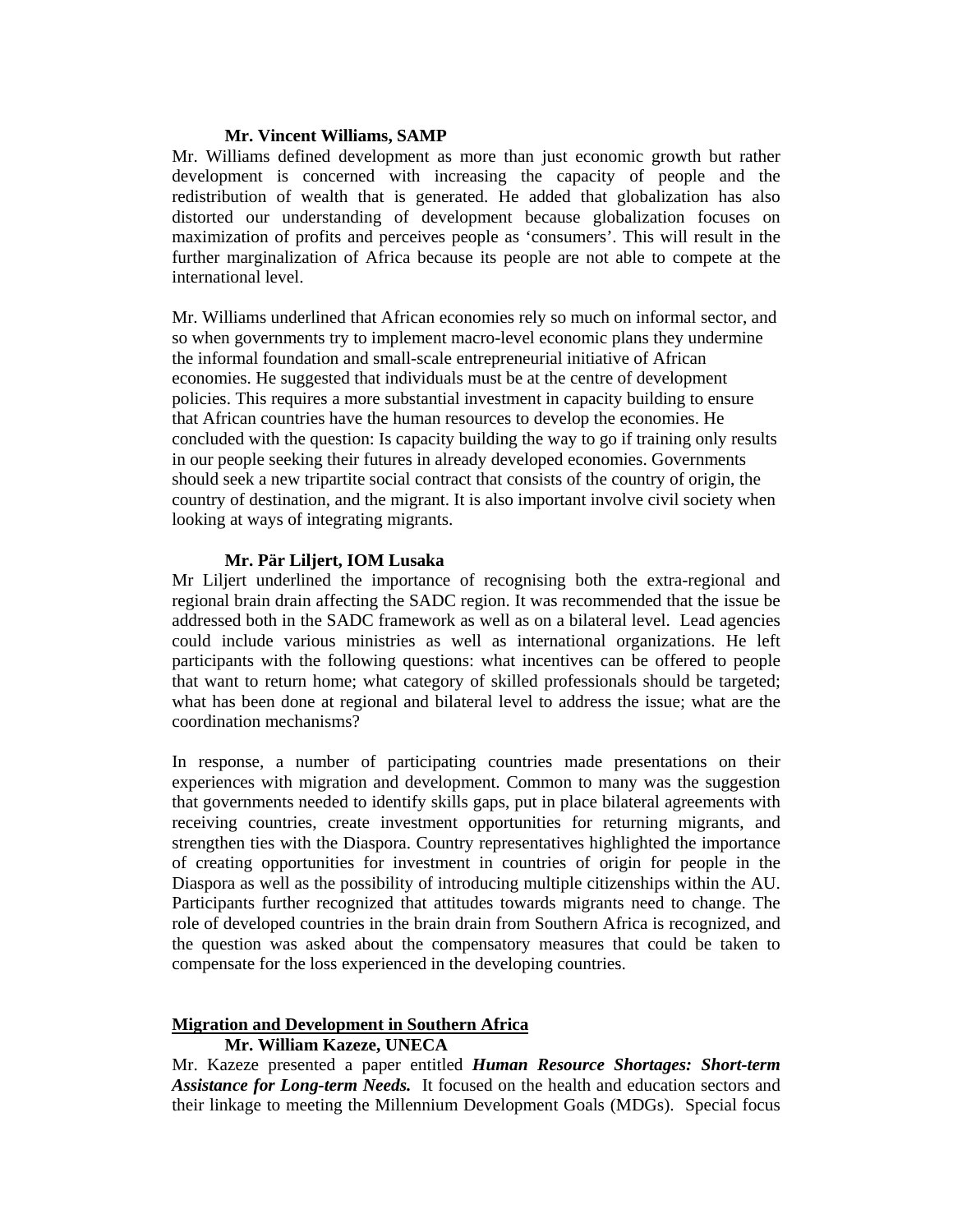## **Mr. Vincent Williams, SAMP**

Mr. Williams defined development as more than just economic growth but rather development is concerned with increasing the capacity of people and the redistribution of wealth that is generated. He added that globalization has also distorted our understanding of development because globalization focuses on maximization of profits and perceives people as 'consumers'. This will result in the further marginalization of Africa because its people are not able to compete at the international level.

Mr. Williams underlined that African economies rely so much on informal sector, and so when governments try to implement macro-level economic plans they undermine the informal foundation and small-scale entrepreneurial initiative of African economies. He suggested that individuals must be at the centre of development policies. This requires a more substantial investment in capacity building to ensure that African countries have the human resources to develop the economies. He concluded with the question: Is capacity building the way to go if training only results in our people seeking their futures in already developed economies. Governments should seek a new tripartite social contract that consists of the country of origin, the country of destination, and the migrant. It is also important involve civil society when looking at ways of integrating migrants.

## **Mr. Pär Liljert, IOM Lusaka**

Mr Liljert underlined the importance of recognising both the extra-regional and regional brain drain affecting the SADC region. It was recommended that the issue be addressed both in the SADC framework as well as on a bilateral level. Lead agencies could include various ministries as well as international organizations. He left participants with the following questions: what incentives can be offered to people that want to return home; what category of skilled professionals should be targeted; what has been done at regional and bilateral level to address the issue; what are the coordination mechanisms?

In response, a number of participating countries made presentations on their experiences with migration and development. Common to many was the suggestion that governments needed to identify skills gaps, put in place bilateral agreements with receiving countries, create investment opportunities for returning migrants, and strengthen ties with the Diaspora. Country representatives highlighted the importance of creating opportunities for investment in countries of origin for people in the Diaspora as well as the possibility of introducing multiple citizenships within the AU. Participants further recognized that attitudes towards migrants need to change. The role of developed countries in the brain drain from Southern Africa is recognized, and the question was asked about the compensatory measures that could be taken to compensate for the loss experienced in the developing countries.

## **Migration and Development in Southern Africa**

## **Mr. William Kazeze, UNECA**

Mr. Kazeze presented a paper entitled *Human Resource Shortages: Short-term Assistance for Long-term Needs.* It focused on the health and education sectors and their linkage to meeting the Millennium Development Goals (MDGs). Special focus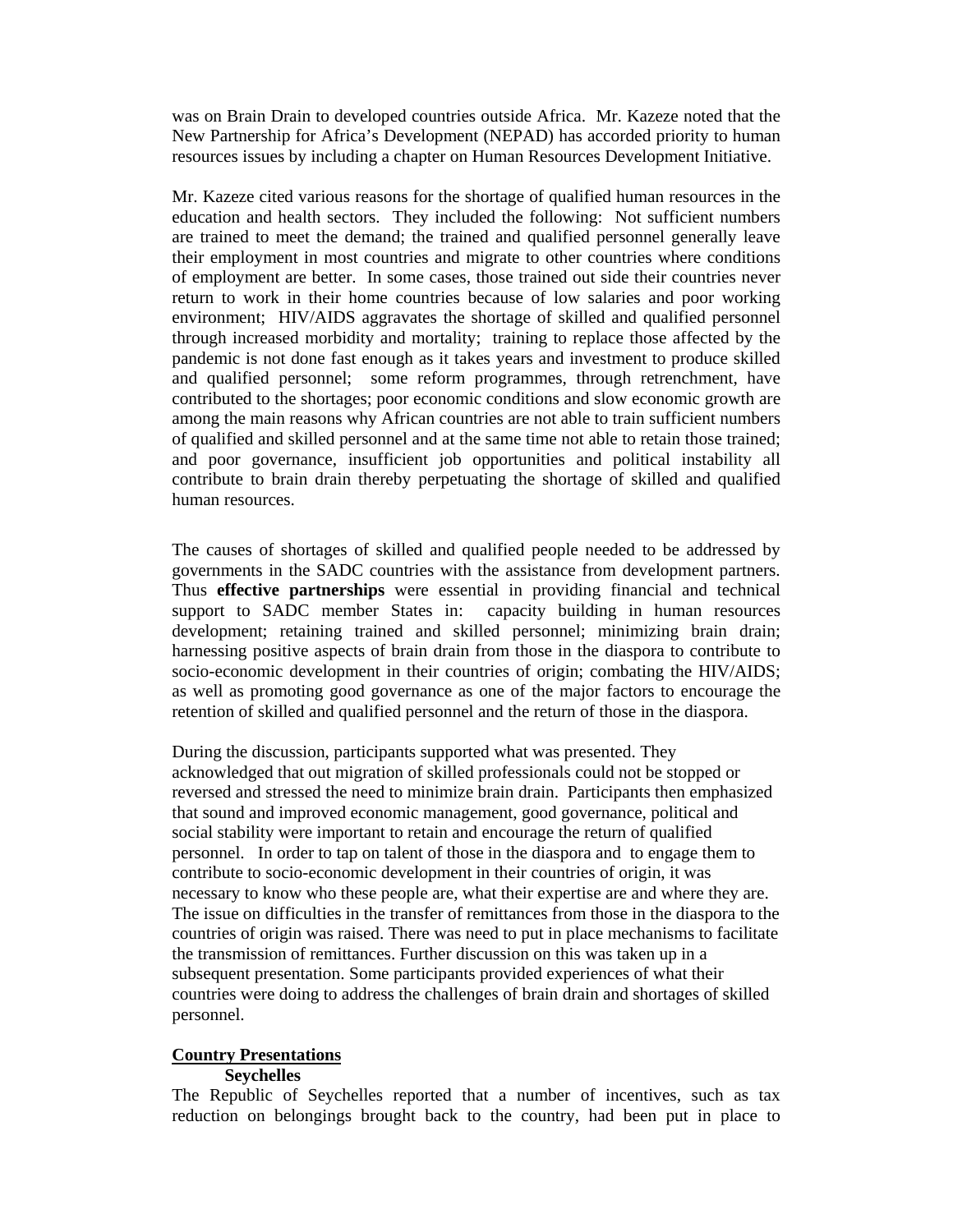was on Brain Drain to developed countries outside Africa. Mr. Kazeze noted that the New Partnership for Africa's Development (NEPAD) has accorded priority to human resources issues by including a chapter on Human Resources Development Initiative.

Mr. Kazeze cited various reasons for the shortage of qualified human resources in the education and health sectors. They included the following: Not sufficient numbers are trained to meet the demand; the trained and qualified personnel generally leave their employment in most countries and migrate to other countries where conditions of employment are better. In some cases, those trained out side their countries never return to work in their home countries because of low salaries and poor working environment; HIV/AIDS aggravates the shortage of skilled and qualified personnel through increased morbidity and mortality; training to replace those affected by the pandemic is not done fast enough as it takes years and investment to produce skilled and qualified personnel; some reform programmes, through retrenchment, have contributed to the shortages; poor economic conditions and slow economic growth are among the main reasons why African countries are not able to train sufficient numbers of qualified and skilled personnel and at the same time not able to retain those trained; and poor governance, insufficient job opportunities and political instability all contribute to brain drain thereby perpetuating the shortage of skilled and qualified human resources.

The causes of shortages of skilled and qualified people needed to be addressed by governments in the SADC countries with the assistance from development partners. Thus **effective partnerships** were essential in providing financial and technical support to SADC member States in: capacity building in human resources development; retaining trained and skilled personnel; minimizing brain drain; harnessing positive aspects of brain drain from those in the diaspora to contribute to socio-economic development in their countries of origin; combating the HIV/AIDS; as well as promoting good governance as one of the major factors to encourage the retention of skilled and qualified personnel and the return of those in the diaspora.

During the discussion, participants supported what was presented. They acknowledged that out migration of skilled professionals could not be stopped or reversed and stressed the need to minimize brain drain. Participants then emphasized that sound and improved economic management, good governance, political and social stability were important to retain and encourage the return of qualified personnel. In order to tap on talent of those in the diaspora and to engage them to contribute to socio-economic development in their countries of origin, it was necessary to know who these people are, what their expertise are and where they are. The issue on difficulties in the transfer of remittances from those in the diaspora to the countries of origin was raised. There was need to put in place mechanisms to facilitate the transmission of remittances. Further discussion on this was taken up in a subsequent presentation. Some participants provided experiences of what their countries were doing to address the challenges of brain drain and shortages of skilled personnel.

#### **Country Presentations**

#### **Seychelles**

The Republic of Seychelles reported that a number of incentives, such as tax reduction on belongings brought back to the country, had been put in place to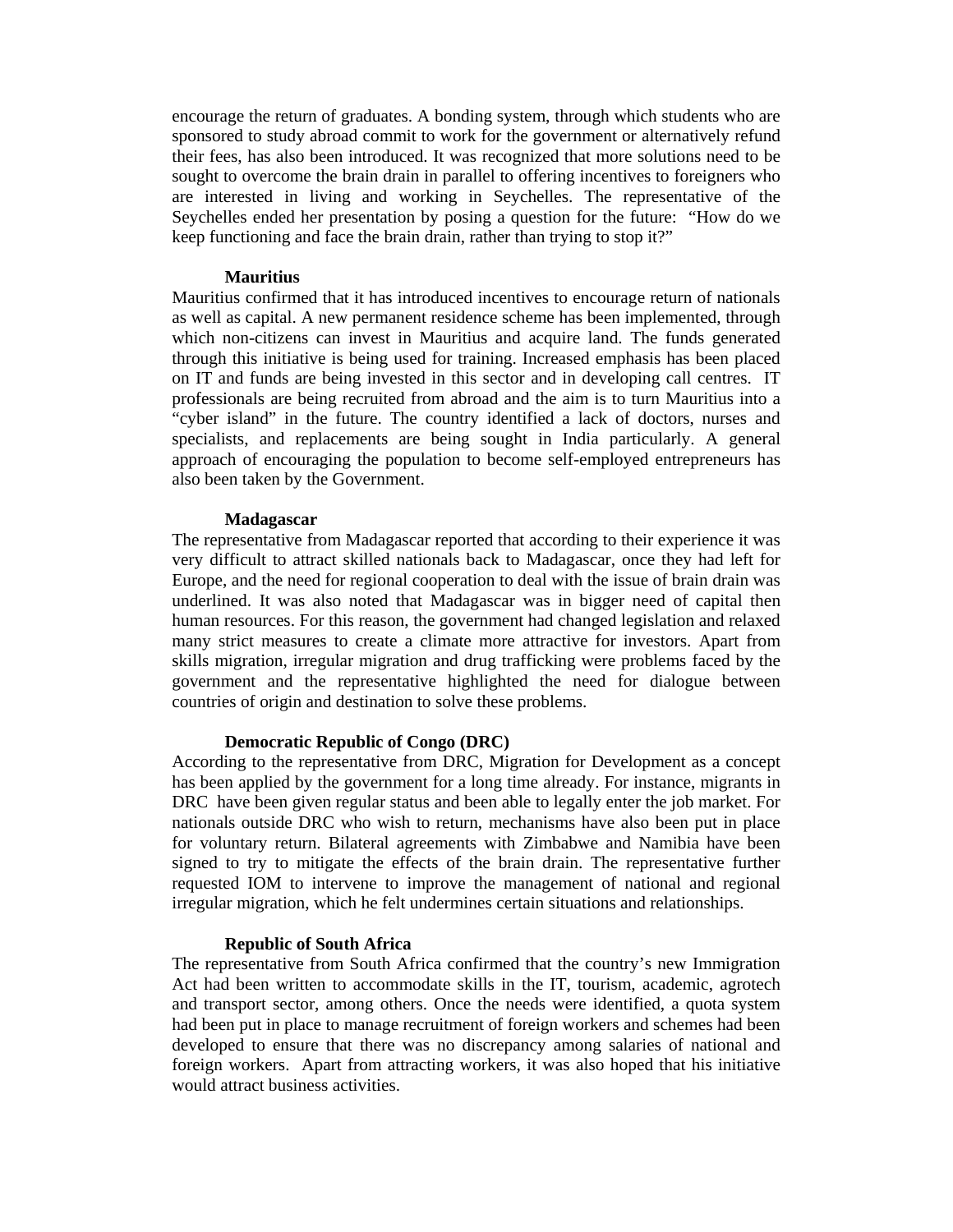encourage the return of graduates. A bonding system, through which students who are sponsored to study abroad commit to work for the government or alternatively refund their fees, has also been introduced. It was recognized that more solutions need to be sought to overcome the brain drain in parallel to offering incentives to foreigners who are interested in living and working in Seychelles. The representative of the Seychelles ended her presentation by posing a question for the future: "How do we keep functioning and face the brain drain, rather than trying to stop it?"

#### **Mauritius**

Mauritius confirmed that it has introduced incentives to encourage return of nationals as well as capital. A new permanent residence scheme has been implemented, through which non-citizens can invest in Mauritius and acquire land. The funds generated through this initiative is being used for training. Increased emphasis has been placed on IT and funds are being invested in this sector and in developing call centres. IT professionals are being recruited from abroad and the aim is to turn Mauritius into a "cyber island" in the future. The country identified a lack of doctors, nurses and specialists, and replacements are being sought in India particularly. A general approach of encouraging the population to become self-employed entrepreneurs has also been taken by the Government.

#### **Madagascar**

The representative from Madagascar reported that according to their experience it was very difficult to attract skilled nationals back to Madagascar, once they had left for Europe, and the need for regional cooperation to deal with the issue of brain drain was underlined. It was also noted that Madagascar was in bigger need of capital then human resources. For this reason, the government had changed legislation and relaxed many strict measures to create a climate more attractive for investors. Apart from skills migration, irregular migration and drug trafficking were problems faced by the government and the representative highlighted the need for dialogue between countries of origin and destination to solve these problems.

#### **Democratic Republic of Congo (DRC)**

According to the representative from DRC, Migration for Development as a concept has been applied by the government for a long time already. For instance, migrants in DRC have been given regular status and been able to legally enter the job market. For nationals outside DRC who wish to return, mechanisms have also been put in place for voluntary return. Bilateral agreements with Zimbabwe and Namibia have been signed to try to mitigate the effects of the brain drain. The representative further requested IOM to intervene to improve the management of national and regional irregular migration, which he felt undermines certain situations and relationships.

#### **Republic of South Africa**

The representative from South Africa confirmed that the country's new Immigration Act had been written to accommodate skills in the IT, tourism, academic, agrotech and transport sector, among others. Once the needs were identified, a quota system had been put in place to manage recruitment of foreign workers and schemes had been developed to ensure that there was no discrepancy among salaries of national and foreign workers. Apart from attracting workers, it was also hoped that his initiative would attract business activities.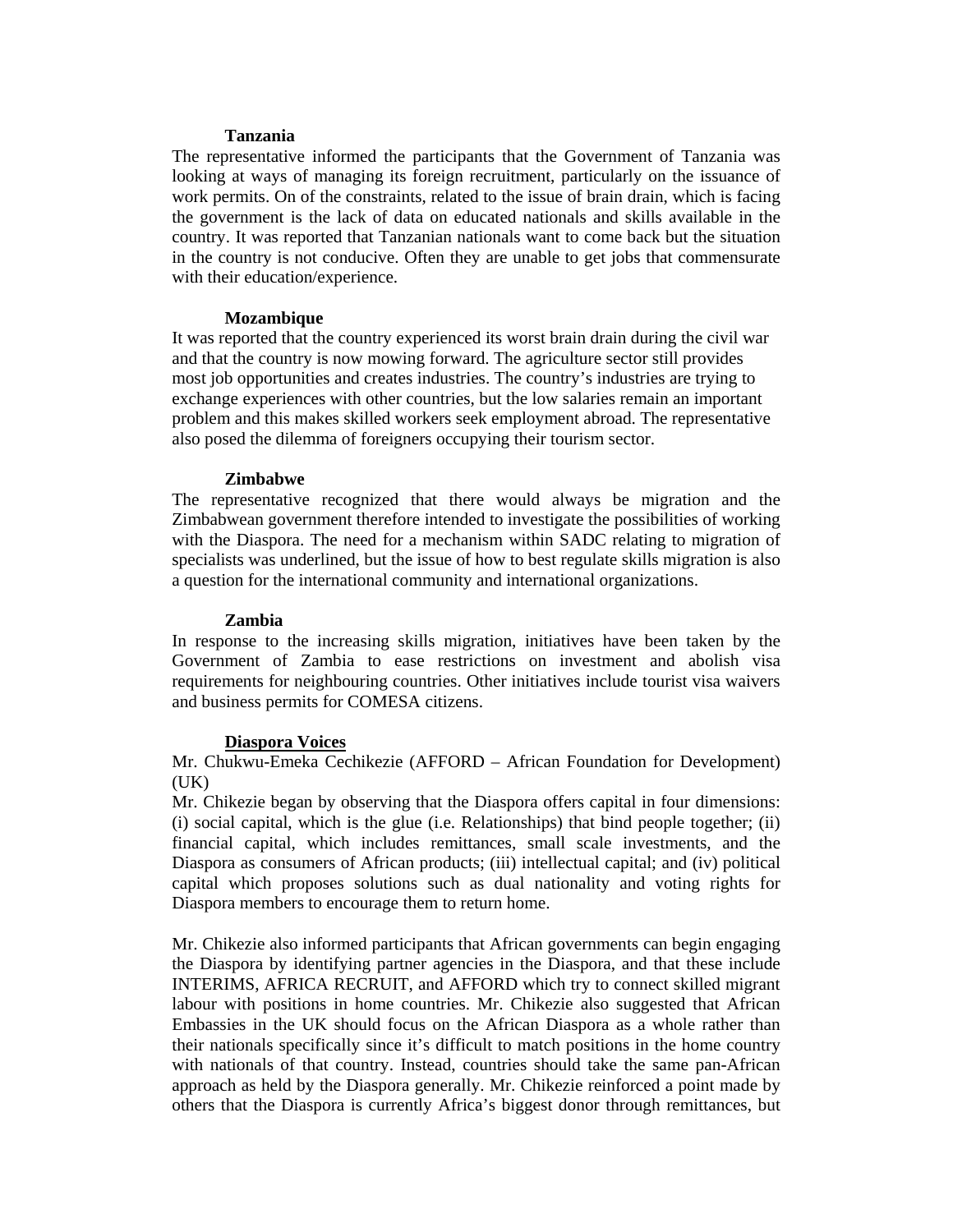#### **Tanzania**

The representative informed the participants that the Government of Tanzania was looking at ways of managing its foreign recruitment, particularly on the issuance of work permits. On of the constraints, related to the issue of brain drain, which is facing the government is the lack of data on educated nationals and skills available in the country. It was reported that Tanzanian nationals want to come back but the situation in the country is not conducive. Often they are unable to get jobs that commensurate with their education/experience.

## **Mozambique**

It was reported that the country experienced its worst brain drain during the civil war and that the country is now mowing forward. The agriculture sector still provides most job opportunities and creates industries. The country's industries are trying to exchange experiences with other countries, but the low salaries remain an important problem and this makes skilled workers seek employment abroad. The representative also posed the dilemma of foreigners occupying their tourism sector.

## **Zimbabwe**

The representative recognized that there would always be migration and the Zimbabwean government therefore intended to investigate the possibilities of working with the Diaspora. The need for a mechanism within SADC relating to migration of specialists was underlined, but the issue of how to best regulate skills migration is also a question for the international community and international organizations.

## **Zambia**

In response to the increasing skills migration, initiatives have been taken by the Government of Zambia to ease restrictions on investment and abolish visa requirements for neighbouring countries. Other initiatives include tourist visa waivers and business permits for COMESA citizens.

## **Diaspora Voices**

Mr. Chukwu-Emeka Cechikezie (AFFORD – African Foundation for Development)  $(UK)$ 

Mr. Chikezie began by observing that the Diaspora offers capital in four dimensions: (i) social capital, which is the glue (i.e. Relationships) that bind people together; (ii) financial capital, which includes remittances, small scale investments, and the Diaspora as consumers of African products; (iii) intellectual capital; and (iv) political capital which proposes solutions such as dual nationality and voting rights for Diaspora members to encourage them to return home.

Mr. Chikezie also informed participants that African governments can begin engaging the Diaspora by identifying partner agencies in the Diaspora, and that these include INTERIMS, AFRICA RECRUIT, and AFFORD which try to connect skilled migrant labour with positions in home countries. Mr. Chikezie also suggested that African Embassies in the UK should focus on the African Diaspora as a whole rather than their nationals specifically since it's difficult to match positions in the home country with nationals of that country. Instead, countries should take the same pan-African approach as held by the Diaspora generally. Mr. Chikezie reinforced a point made by others that the Diaspora is currently Africa's biggest donor through remittances, but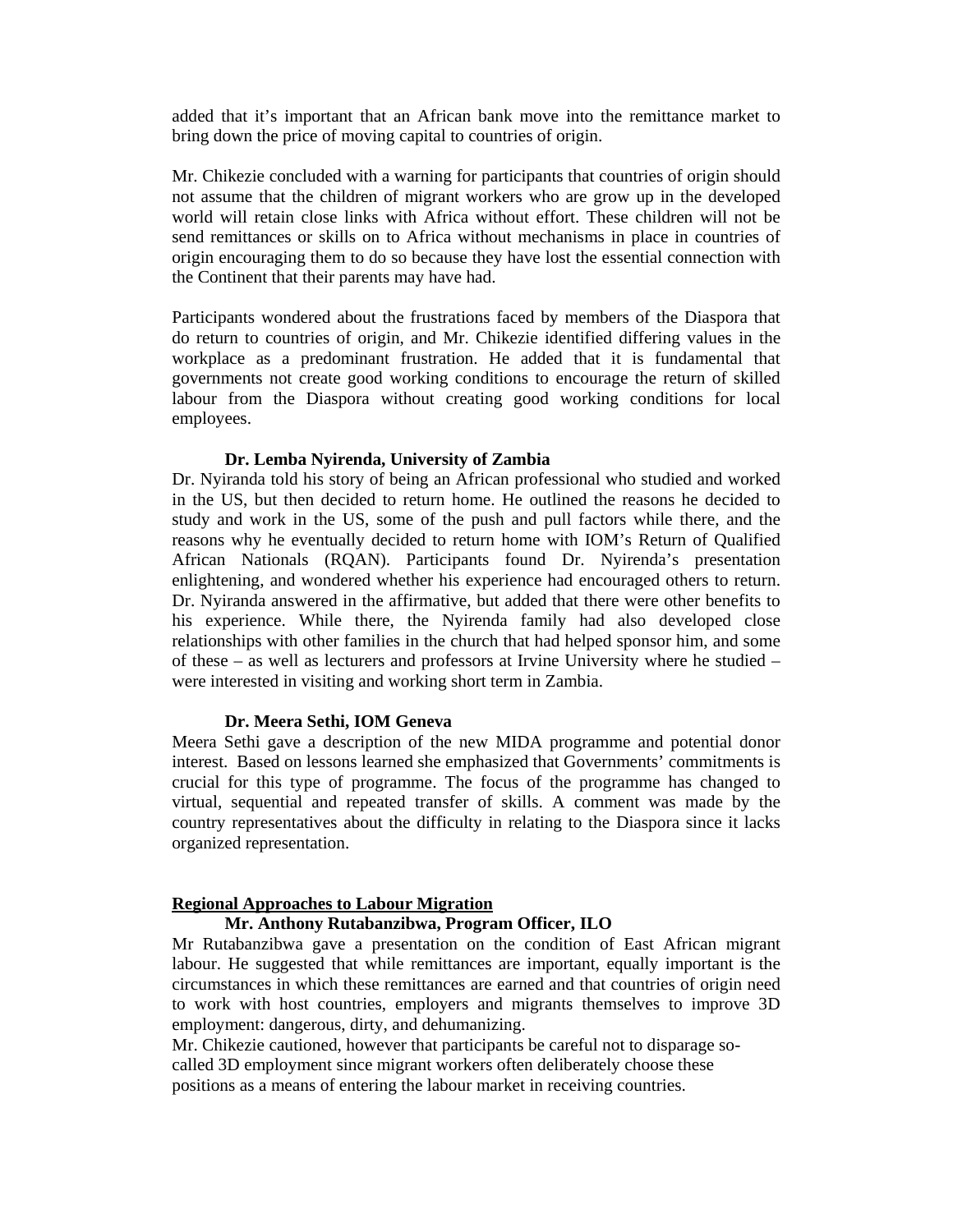added that it's important that an African bank move into the remittance market to bring down the price of moving capital to countries of origin.

Mr. Chikezie concluded with a warning for participants that countries of origin should not assume that the children of migrant workers who are grow up in the developed world will retain close links with Africa without effort. These children will not be send remittances or skills on to Africa without mechanisms in place in countries of origin encouraging them to do so because they have lost the essential connection with the Continent that their parents may have had.

Participants wondered about the frustrations faced by members of the Diaspora that do return to countries of origin, and Mr. Chikezie identified differing values in the workplace as a predominant frustration. He added that it is fundamental that governments not create good working conditions to encourage the return of skilled labour from the Diaspora without creating good working conditions for local employees.

#### **Dr. Lemba Nyirenda, University of Zambia**

Dr. Nyiranda told his story of being an African professional who studied and worked in the US, but then decided to return home. He outlined the reasons he decided to study and work in the US, some of the push and pull factors while there, and the reasons why he eventually decided to return home with IOM's Return of Qualified African Nationals (RQAN). Participants found Dr. Nyirenda's presentation enlightening, and wondered whether his experience had encouraged others to return. Dr. Nyiranda answered in the affirmative, but added that there were other benefits to his experience. While there, the Nyirenda family had also developed close relationships with other families in the church that had helped sponsor him, and some of these – as well as lecturers and professors at Irvine University where he studied – were interested in visiting and working short term in Zambia.

#### **Dr. Meera Sethi, IOM Geneva**

Meera Sethi gave a description of the new MIDA programme and potential donor interest. Based on lessons learned she emphasized that Governments' commitments is crucial for this type of programme. The focus of the programme has changed to virtual, sequential and repeated transfer of skills. A comment was made by the country representatives about the difficulty in relating to the Diaspora since it lacks organized representation.

#### **Regional Approaches to Labour Migration**

## **Mr. Anthony Rutabanzibwa, Program Officer, ILO**

Mr Rutabanzibwa gave a presentation on the condition of East African migrant labour. He suggested that while remittances are important, equally important is the circumstances in which these remittances are earned and that countries of origin need to work with host countries, employers and migrants themselves to improve 3D employment: dangerous, dirty, and dehumanizing.

Mr. Chikezie cautioned, however that participants be careful not to disparage socalled 3D employment since migrant workers often deliberately choose these positions as a means of entering the labour market in receiving countries.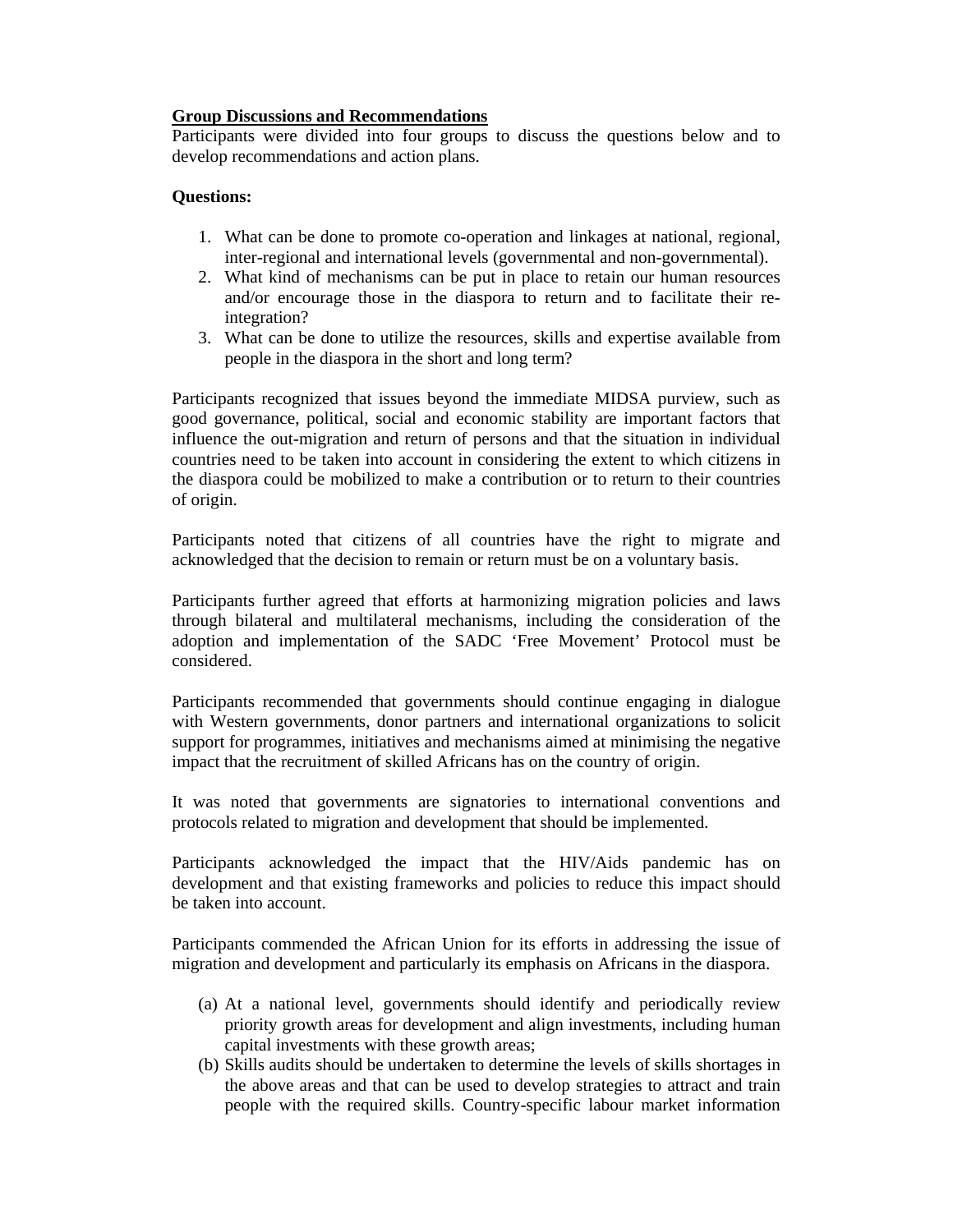## **Group Discussions and Recommendations**

Participants were divided into four groups to discuss the questions below and to develop recommendations and action plans.

## **Questions:**

- 1. What can be done to promote co-operation and linkages at national, regional, inter-regional and international levels (governmental and non-governmental).
- 2. What kind of mechanisms can be put in place to retain our human resources and/or encourage those in the diaspora to return and to facilitate their reintegration?
- 3. What can be done to utilize the resources, skills and expertise available from people in the diaspora in the short and long term?

Participants recognized that issues beyond the immediate MIDSA purview, such as good governance, political, social and economic stability are important factors that influence the out-migration and return of persons and that the situation in individual countries need to be taken into account in considering the extent to which citizens in the diaspora could be mobilized to make a contribution or to return to their countries of origin.

Participants noted that citizens of all countries have the right to migrate and acknowledged that the decision to remain or return must be on a voluntary basis.

Participants further agreed that efforts at harmonizing migration policies and laws through bilateral and multilateral mechanisms, including the consideration of the adoption and implementation of the SADC 'Free Movement' Protocol must be considered.

Participants recommended that governments should continue engaging in dialogue with Western governments, donor partners and international organizations to solicit support for programmes, initiatives and mechanisms aimed at minimising the negative impact that the recruitment of skilled Africans has on the country of origin.

It was noted that governments are signatories to international conventions and protocols related to migration and development that should be implemented.

Participants acknowledged the impact that the HIV/Aids pandemic has on development and that existing frameworks and policies to reduce this impact should be taken into account.

Participants commended the African Union for its efforts in addressing the issue of migration and development and particularly its emphasis on Africans in the diaspora.

- (a) At a national level, governments should identify and periodically review priority growth areas for development and align investments, including human capital investments with these growth areas;
- (b) Skills audits should be undertaken to determine the levels of skills shortages in the above areas and that can be used to develop strategies to attract and train people with the required skills. Country-specific labour market information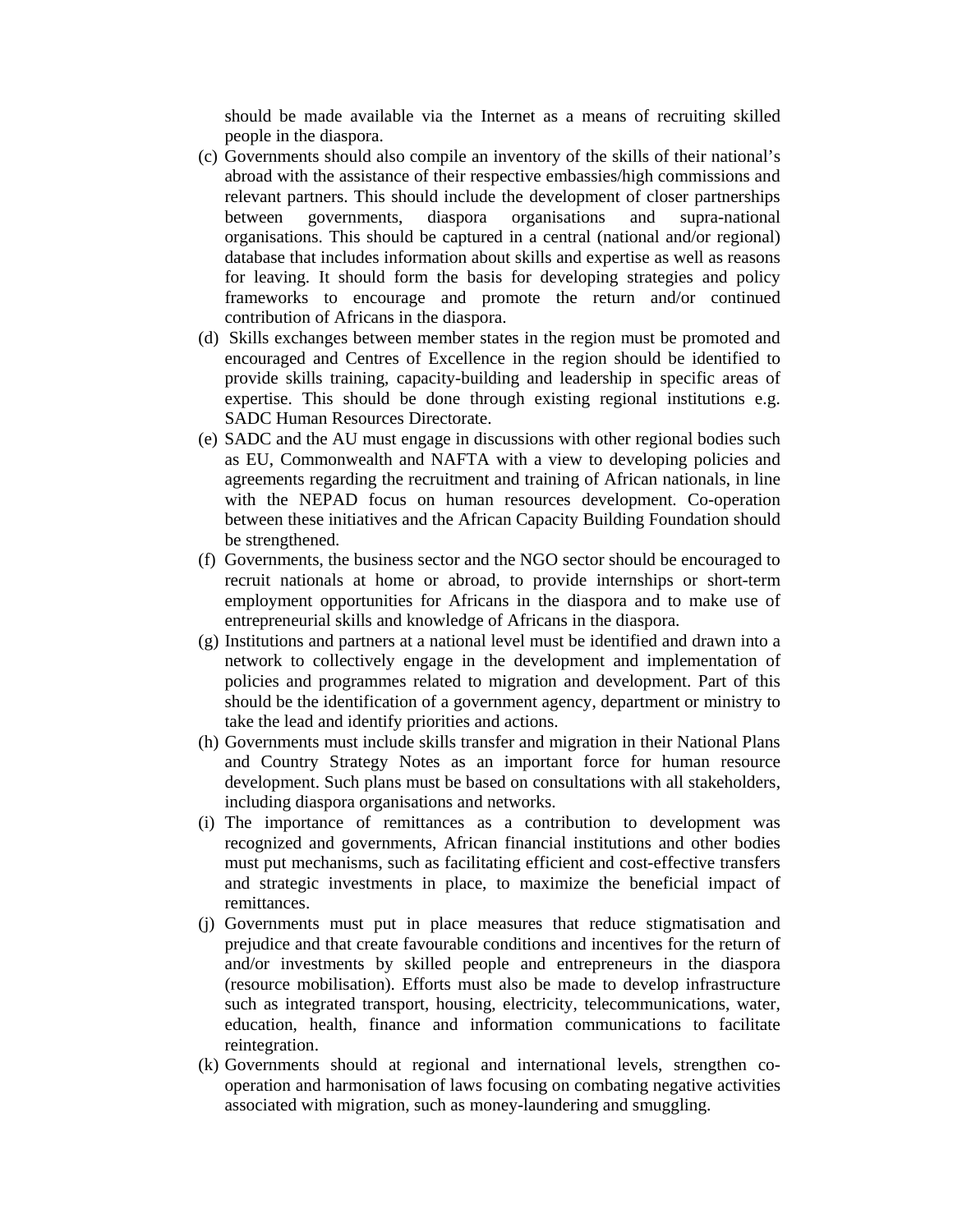should be made available via the Internet as a means of recruiting skilled people in the diaspora.

- (c) Governments should also compile an inventory of the skills of their national's abroad with the assistance of their respective embassies/high commissions and relevant partners. This should include the development of closer partnerships between governments, diaspora organisations and supra-national organisations. This should be captured in a central (national and/or regional) database that includes information about skills and expertise as well as reasons for leaving. It should form the basis for developing strategies and policy frameworks to encourage and promote the return and/or continued contribution of Africans in the diaspora.
- (d) Skills exchanges between member states in the region must be promoted and encouraged and Centres of Excellence in the region should be identified to provide skills training, capacity-building and leadership in specific areas of expertise. This should be done through existing regional institutions e.g. SADC Human Resources Directorate.
- (e) SADC and the AU must engage in discussions with other regional bodies such as EU, Commonwealth and NAFTA with a view to developing policies and agreements regarding the recruitment and training of African nationals, in line with the NEPAD focus on human resources development. Co-operation between these initiatives and the African Capacity Building Foundation should be strengthened.
- (f) Governments, the business sector and the NGO sector should be encouraged to recruit nationals at home or abroad, to provide internships or short-term employment opportunities for Africans in the diaspora and to make use of entrepreneurial skills and knowledge of Africans in the diaspora.
- (g) Institutions and partners at a national level must be identified and drawn into a network to collectively engage in the development and implementation of policies and programmes related to migration and development. Part of this should be the identification of a government agency, department or ministry to take the lead and identify priorities and actions.
- (h) Governments must include skills transfer and migration in their National Plans and Country Strategy Notes as an important force for human resource development. Such plans must be based on consultations with all stakeholders, including diaspora organisations and networks.
- (i) The importance of remittances as a contribution to development was recognized and governments, African financial institutions and other bodies must put mechanisms, such as facilitating efficient and cost-effective transfers and strategic investments in place, to maximize the beneficial impact of remittances.
- (j) Governments must put in place measures that reduce stigmatisation and prejudice and that create favourable conditions and incentives for the return of and/or investments by skilled people and entrepreneurs in the diaspora (resource mobilisation). Efforts must also be made to develop infrastructure such as integrated transport, housing, electricity, telecommunications, water, education, health, finance and information communications to facilitate reintegration.
- (k) Governments should at regional and international levels, strengthen cooperation and harmonisation of laws focusing on combating negative activities associated with migration, such as money-laundering and smuggling.